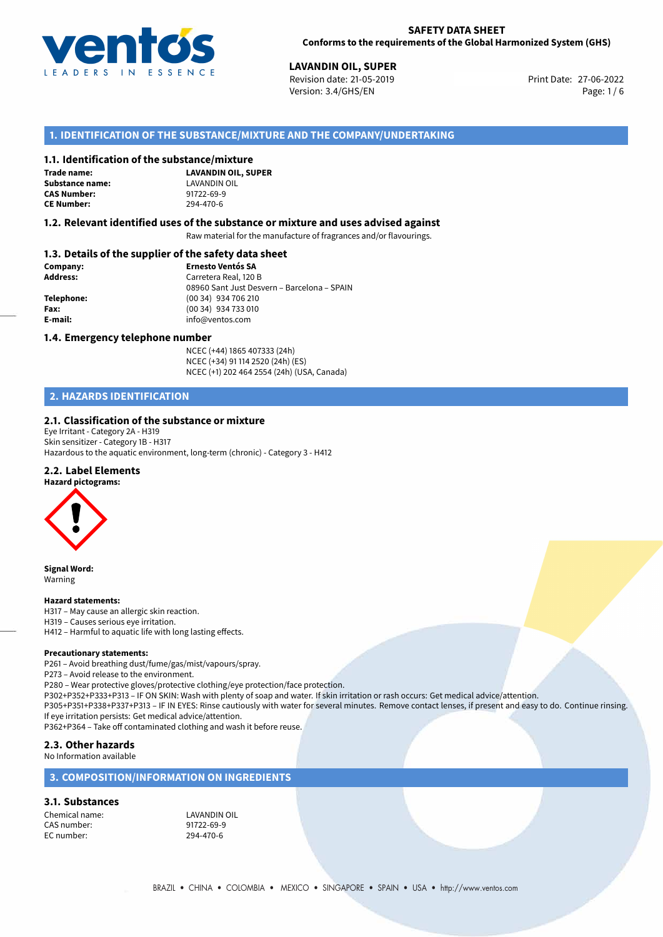

27-06-2022 **LAVANDIN OIL, SUPER** Revision date: 21-05-2019 Print Date: Version: 3.4/GHS/EN Page: 1 / 6

## **1. IDENTIFICATION OF THE SUBSTANCE/MIXTURE AND THE COMPANY/UNDERTAKING**

#### **1.1. Identification of the substance/mixture**

**Trade name: Substance name:** LAVANDIN OIL **CAS Number: CE Number:** 294-470-6

**LAVANDIN OIL, SUPER**

#### **1.2. Relevant identified uses of the substance or mixture and uses advised against**

Raw material for the manufacture of fragrances and/or flavourings.

## **1.3. Details of the supplier of the safety data sheet**

| Company:   | <b>Ernesto Ventós SA</b>                    |
|------------|---------------------------------------------|
| Address:   | Carretera Real, 120 B                       |
|            | 08960 Sant Just Desvern - Barcelona - SPAIN |
| Telephone: | (00 34) 934 706 210                         |
| Fax:       | (00 34) 934 733 010                         |
| E-mail:    | info@ventos.com                             |
|            |                                             |

#### **1.4. Emergency telephone number**

NCEC (+44) 1865 407333 (24h) NCEC (+34) 91 114 2520 (24h) (ES) NCEC (+1) 202 464 2554 (24h) (USA, Canada)

# **2. HAZARDS IDENTIFICATION**

## **2.1. Classification of the substance or mixture**

Eye Irritant - Category 2A - H319 Skin sensitizer - Category 1B - H317 Hazardous to the aquatic environment, long-term (chronic) - Category 3 - H412

## **2.2. Label Elements**



**Signal Word:** Warning

#### **Hazard statements:**

H317 – May cause an allergic skin reaction. H319 – Causes serious eye irritation. H412 – Harmful to aquatic life with long lasting effects.

#### **Precautionary statements:**

P261 – Avoid breathing dust/fume/gas/mist/vapours/spray.

P273 – Avoid release to the environment.

P280 – Wear protective gloves/protective clothing/eye protection/face protection.

P302+P352+P333+P313 – IF ON SKIN: Wash with plenty of soap and water. If skin irritation or rash occurs: Get medical advice/attention.

P305+P351+P338+P337+P313 – IF IN EYES: Rinse cautiously with water for several minutes. Remove contact lenses, if present and easy to do. Continue rinsing. If eye irritation persists: Get medical advice/attention.

P362+P364 – Take off contaminated clothing and wash it before reuse.

## **2.3. Other hazards**

#### No Information available

## **3. COMPOSITION/INFORMATION ON INGREDIENTS**

#### **3.1. Substances**

Chemical name: LAVANDIN OIL<br>
CAS number: 91722-69-9 CAS number: 91722-69-9<br>
FC number: 9294-470-6 EC number: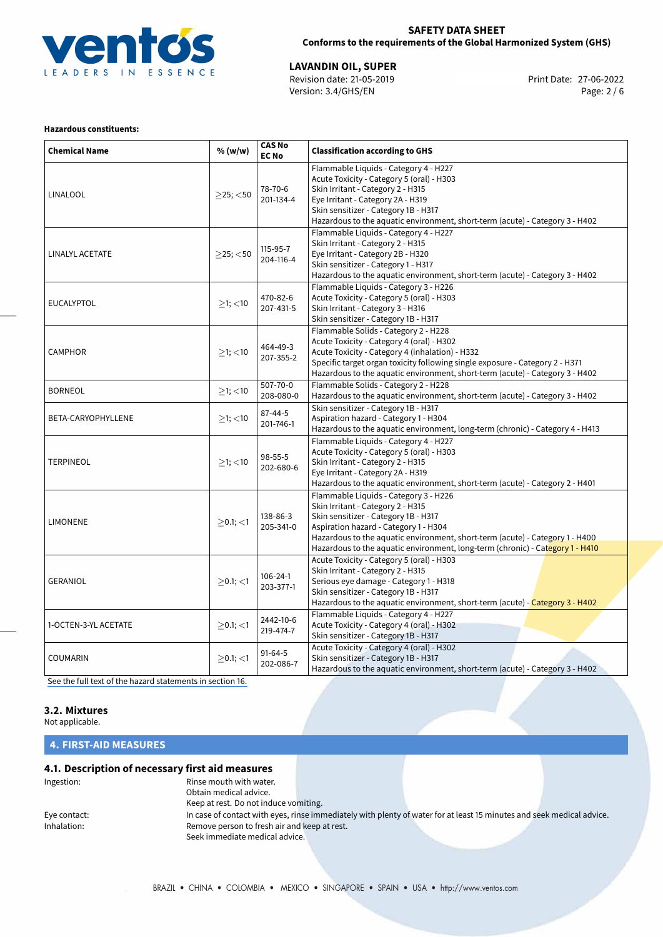

## **SAFETY DATA SHEET Conforms to the requirements of the Global Harmonized System (GHS)**

27-06-2022 **LAVANDIN OIL, SUPER** Revision date: 21-05-2019 Print Date: Version: 3.4/GHS/EN Page: 2 / 6

## **Hazardous constituents:**

| <b>Chemical Name</b> | % (w/w)        | <b>CAS No</b><br><b>EC No</b> | <b>Classification according to GHS</b>                                                                                                                                                                                                                                                                                       |
|----------------------|----------------|-------------------------------|------------------------------------------------------------------------------------------------------------------------------------------------------------------------------------------------------------------------------------------------------------------------------------------------------------------------------|
| <b>LINALOOL</b>      | $>25$ ; $<$ 50 | 78-70-6<br>201-134-4          | Flammable Liquids - Category 4 - H227<br>Acute Toxicity - Category 5 (oral) - H303<br>Skin Irritant - Category 2 - H315<br>Eye Irritant - Category 2A - H319<br>Skin sensitizer - Category 1B - H317<br>Hazardous to the aquatic environment, short-term (acute) - Category 3 - H402                                         |
| LINALYL ACETATE      | $>25$ ; <50    | 115-95-7<br>204-116-4         | Flammable Liquids - Category 4 - H227<br>Skin Irritant - Category 2 - H315<br>Eye Irritant - Category 2B - H320<br>Skin sensitizer - Category 1 - H317<br>Hazardous to the aquatic environment, short-term (acute) - Category 3 - H402                                                                                       |
| <b>EUCALYPTOL</b>    | $\geq$ 1; <10  | 470-82-6<br>207-431-5         | Flammable Liquids - Category 3 - H226<br>Acute Toxicity - Category 5 (oral) - H303<br>Skin Irritant - Category 3 - H316<br>Skin sensitizer - Category 1B - H317                                                                                                                                                              |
| <b>CAMPHOR</b>       | $>1$ ; $<$ 10  | 464-49-3<br>207-355-2         | Flammable Solids - Category 2 - H228<br>Acute Toxicity - Category 4 (oral) - H302<br>Acute Toxicity - Category 4 (inhalation) - H332<br>Specific target organ toxicity following single exposure - Category 2 - H371<br>Hazardous to the aquatic environment, short-term (acute) - Category 3 - H402                         |
| <b>BORNEOL</b>       | $\geq$ 1; <10  | 507-70-0<br>208-080-0         | Flammable Solids - Category 2 - H228<br>Hazardous to the aquatic environment, short-term (acute) - Category 3 - H402                                                                                                                                                                                                         |
| BETA-CARYOPHYLLENE   | $>1$ ; $<$ 10  | $87 - 44 - 5$<br>201-746-1    | Skin sensitizer - Category 1B - H317<br>Aspiration hazard - Category 1 - H304<br>Hazardous to the aquatic environment, long-term (chronic) - Category 4 - H413                                                                                                                                                               |
| <b>TERPINEOL</b>     | $>1$ ; $<$ 10  | 98-55-5<br>202-680-6          | Flammable Liquids - Category 4 - H227<br>Acute Toxicity - Category 5 (oral) - H303<br>Skin Irritant - Category 2 - H315<br>Eye Irritant - Category 2A - H319<br>Hazardous to the aquatic environment, short-term (acute) - Category 2 - H401                                                                                 |
| <b>LIMONENE</b>      | $>0.1$ ; <1    | 138-86-3<br>205-341-0         | Flammable Liquids - Category 3 - H226<br>Skin Irritant - Category 2 - H315<br>Skin sensitizer - Category 1B - H317<br>Aspiration hazard - Category 1 - H304<br>Hazardous to the aquatic environment, short-term (acute) - Category 1 - H400<br>Hazardous to the aquatic environment, long-term (chronic) - Category 1 - H410 |
| <b>GERANIOL</b>      | $>0.1$ ; $<$ 1 | $106 - 24 - 1$<br>203-377-1   | Acute Toxicity - Category 5 (oral) - H303<br>Skin Irritant - Category 2 - H315<br>Serious eye damage - Category 1 - H318<br>Skin sensitizer - Category 1B - H317<br>Hazardous to the aquatic environment, short-term (acute) - Category 3 - H402                                                                             |
| 1-OCTEN-3-YL ACETATE | $>0.1$ ; <1    | 2442-10-6<br>219-474-7        | Flammable Liquids - Category 4 - H227<br>Acute Toxicity - Category 4 (oral) - H302<br>Skin sensitizer - Category 1B - H317                                                                                                                                                                                                   |
| <b>COUMARIN</b>      | $\geq$ 0.1; <1 | $91 - 64 - 5$<br>202-086-7    | Acute Toxicity - Category 4 (oral) - H302<br>Skin sensitizer - Category 1B - H317<br>Hazardous to the aquatic environment, short-term (acute) - Category 3 - H402                                                                                                                                                            |

[See the full text of the hazard statements in section 16.](#page-4-0)

# **3.2. Mixtures**

Not applicable.

# **4. FIRST-AID MEASURES**

## **4.1. Description of necessary first aid measures**

| Ingestion:   | Rinse mouth with water.                      |                                                                                                                       |  |
|--------------|----------------------------------------------|-----------------------------------------------------------------------------------------------------------------------|--|
|              | Obtain medical advice.                       |                                                                                                                       |  |
|              | Keep at rest. Do not induce vomiting.        |                                                                                                                       |  |
| Eye contact: |                                              | In case of contact with eyes, rinse immediately with plenty of water for at least 15 minutes and seek medical advice. |  |
| Inhalation:  | Remove person to fresh air and keep at rest. |                                                                                                                       |  |
|              | Seek immediate medical advice.               |                                                                                                                       |  |
|              |                                              |                                                                                                                       |  |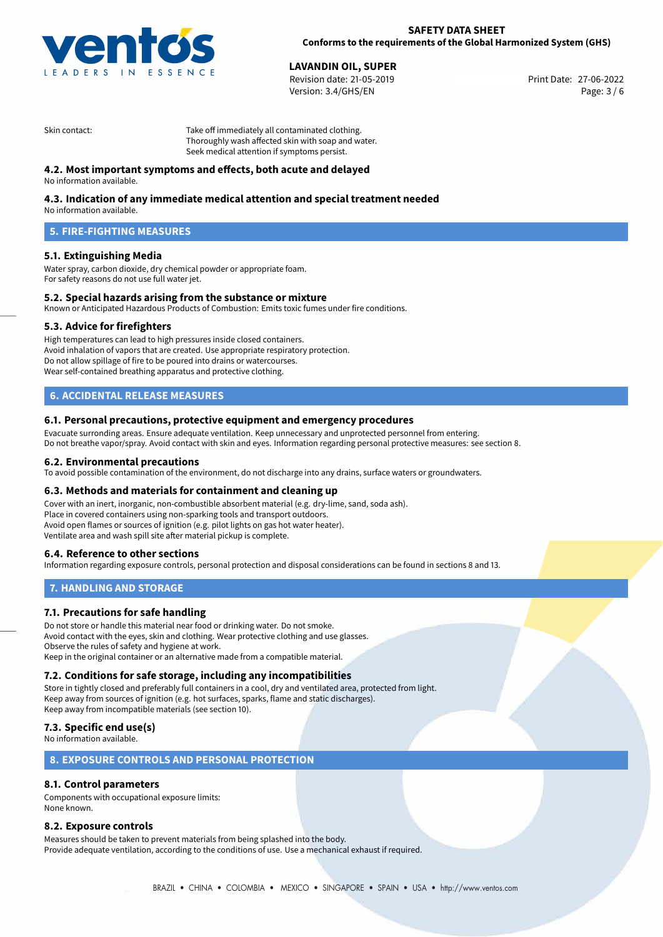

27-06-2022 **LAVANDIN OIL, SUPER** Revision date: 21-05-2019 Print Date: Version: 3.4/GHS/EN Page: 3 / 6

Skin contact: Take off immediately all contaminated clothing. Thoroughly wash affected skin with soap and water. Seek medical attention if symptoms persist.

# **4.2. Most important symptoms and effects, both acute and delayed**

No information available.

# **4.3. Indication of any immediate medical attention and special treatment needed**

No information available.

# **5. FIRE-FIGHTING MEASURES**

## **5.1. Extinguishing Media**

Water spray, carbon dioxide, dry chemical powder or appropriate foam. For safety reasons do not use full water jet.

## **5.2. Special hazards arising from the substance or mixture**

Known or Anticipated Hazardous Products of Combustion: Emits toxic fumes under fire conditions.

## **5.3. Advice for firefighters**

High temperatures can lead to high pressures inside closed containers. Avoid inhalation of vapors that are created. Use appropriate respiratory protection. Do not allow spillage of fire to be poured into drains or watercourses. Wear self-contained breathing apparatus and protective clothing.

# **6. ACCIDENTAL RELEASE MEASURES**

#### **6.1. Personal precautions, protective equipment and emergency procedures**

Evacuate surronding areas. Ensure adequate ventilation. Keep unnecessary and unprotected personnel from entering. Do not breathe vapor/spray. Avoid contact with skin and eyes. Information regarding personal protective measures: see section 8.

#### **6.2. Environmental precautions**

To avoid possible contamination of the environment, do not discharge into any drains, surface waters or groundwaters.

## **6.3. Methods and materials for containment and cleaning up**

Cover with an inert, inorganic, non-combustible absorbent material (e.g. dry-lime, sand, soda ash). Place in covered containers using non-sparking tools and transport outdoors. Avoid open flames or sources of ignition (e.g. pilot lights on gas hot water heater). Ventilate area and wash spill site after material pickup is complete.

## **6.4. Reference to other sections**

Information regarding exposure controls, personal protection and disposal considerations can be found in sections 8 and 13.

## **7. HANDLING AND STORAGE**

## **7.1. Precautions for safe handling**

Do not store or handle this material near food or drinking water. Do not smoke. Avoid contact with the eyes, skin and clothing. Wear protective clothing and use glasses. Observe the rules of safety and hygiene at work. Keep in the original container or an alternative made from a compatible material.

## **7.2. Conditions for safe storage, including any incompatibilities**

Store in tightly closed and preferably full containers in a cool, dry and ventilated area, protected from light. Keep away from sources of ignition (e.g. hot surfaces, sparks, flame and static discharges). Keep away from incompatible materials (see section 10).

## **7.3. Specific end use(s)**

No information available.

## **8. EXPOSURE CONTROLS AND PERSONAL PROTECTION**

# **8.1. Control parameters**

Components with occupational exposure limits: None known.

## **8.2. Exposure controls**

Measures should be taken to prevent materials from being splashed into the body. Provide adequate ventilation, according to the conditions of use. Use a mechanical exhaust if required.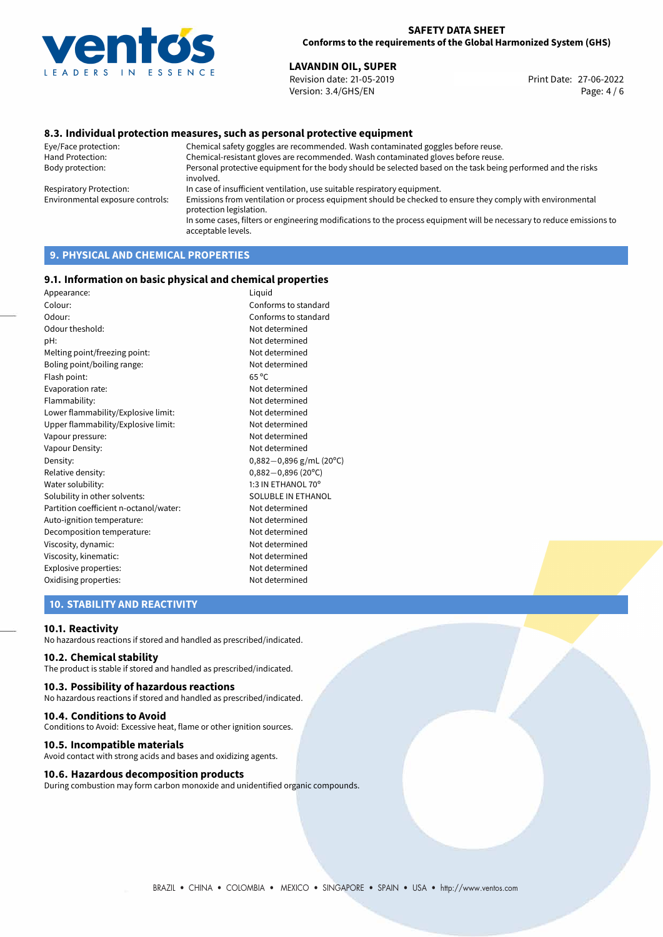

27-06-2022 **LAVANDIN OIL, SUPER** Revision date: 21-05-2019 Print Date: Version: 3.4/GHS/EN Page: 4 / 6

## **8.3. Individual protection measures, such as personal protective equipment**

Eye/Face protection: Chemical safety goggles are recommended. Wash contaminated goggles before reuse. Chemical-resistant gloves are recommended. Wash contaminated gloves before reuse. Body protection: Personal protective equipment for the body should be selected based on the task being performed and the risks involved. Respiratory Protection: In case of insufficient ventilation, use suitable respiratory equipment. Environmental exposure controls: Emissions from ventilation or process equipment should be checked to ensure they comply with environmental protection legislation. In some cases, filters or engineering modifications to the process equipment will be necessary to reduce emissions to acceptable levels.

# **9. PHYSICAL AND CHEMICAL PROPERTIES**

#### **9.1. Information on basic physical and chemical properties**

| Appearance:                            | Liquid                    |
|----------------------------------------|---------------------------|
| Colour:                                | Conforms to standard      |
| Odour:                                 | Conforms to standard      |
| Odour theshold:                        | Not determined            |
| pH:                                    | Not determined            |
| Melting point/freezing point:          | Not determined            |
| Boling point/boiling range:            | Not determined            |
| Flash point:                           | $65^{\circ}$ C            |
| Evaporation rate:                      | Not determined            |
| Flammability:                          | Not determined            |
| Lower flammability/Explosive limit:    | Not determined            |
| Upper flammability/Explosive limit:    | Not determined            |
| Vapour pressure:                       | Not determined            |
| Vapour Density:                        | Not determined            |
| Density:                               | $0,882-0,896$ g/mL (20°C) |
| Relative density:                      | $0,882 - 0,896$ (20°C)    |
| Water solubility:                      | 1:3 IN ETHANOL 70°        |
| Solubility in other solvents:          | SOLUBLE IN ETHANOL        |
| Partition coefficient n-octanol/water: | Not determined            |
| Auto-ignition temperature:             | Not determined            |
| Decomposition temperature:             | Not determined            |
| Viscosity, dynamic:                    | Not determined            |
| Viscosity, kinematic:                  | Not determined            |
| Explosive properties:                  | Not determined            |
| Oxidising properties:                  | Not determined            |
|                                        |                           |

## **10. STABILITY AND REACTIVITY**

#### **10.1. Reactivity**

No hazardous reactions if stored and handled as prescribed/indicated.

## **10.2. Chemical stability**

The product is stable if stored and handled as prescribed/indicated.

#### **10.3. Possibility of hazardous reactions**

No hazardous reactions if stored and handled as prescribed/indicated.

#### **10.4. Conditions to Avoid**

Conditions to Avoid: Excessive heat, flame or other ignition sources.

#### **10.5. Incompatible materials**

Avoid contact with strong acids and bases and oxidizing agents.

#### **10.6. Hazardous decomposition products**

During combustion may form carbon monoxide and unidentified organic compounds.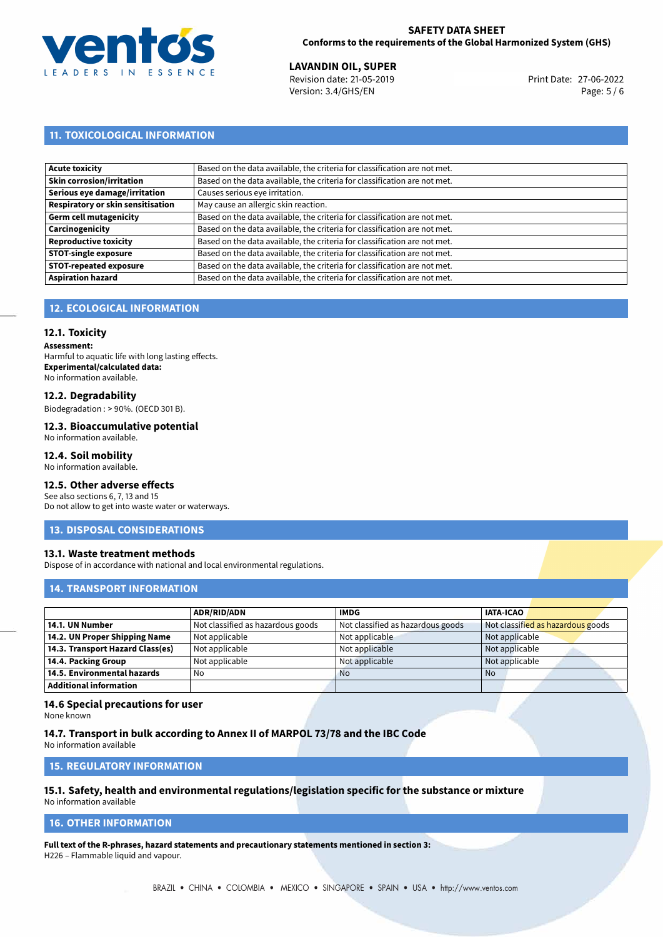

27-06-2022 **LAVANDIN OIL, SUPER** Revision date: 21-05-2019 Print Date: Version: 3.4/GHS/EN Page: 5 / 6

# **11. TOXICOLOGICAL INFORMATION**

| Acute toxicity                    | Based on the data available, the criteria for classification are not met. |
|-----------------------------------|---------------------------------------------------------------------------|
| Skin corrosion/irritation         | Based on the data available, the criteria for classification are not met. |
| Serious eye damage/irritation     | Causes serious eye irritation.                                            |
| Respiratory or skin sensitisation | May cause an allergic skin reaction.                                      |
| Germ cell mutagenicity            | Based on the data available, the criteria for classification are not met. |
| <b>Carcinogenicity</b>            | Based on the data available, the criteria for classification are not met. |
| Reproductive toxicity             | Based on the data available, the criteria for classification are not met. |
| <b>STOT-single exposure</b>       | Based on the data available, the criteria for classification are not met. |
| <b>STOT-repeated exposure</b>     | Based on the data available, the criteria for classification are not met. |
| <b>Aspiration hazard</b>          | Based on the data available, the criteria for classification are not met. |

# **12. ECOLOGICAL INFORMATION**

## **12.1. Toxicity**

**Assessment:** Harmful to aquatic life with long lasting effects. **Experimental/calculated data:** No information available.

## **12.2. Degradability**

Biodegradation : > 90%. (OECD 301 B).

#### **12.3. Bioaccumulative potential** No information available.

# **12.4. Soil mobility**

No information available.

#### **12.5. Other adverse effects**

See also sections 6, 7, 13 and 15 Do not allow to get into waste water or waterways.

## **13. DISPOSAL CONSIDERATIONS**

## **13.1. Waste treatment methods**

Dispose of in accordance with national and local environmental regulations.

# **14. TRANSPORT INFORMATION**

|                                  | <b>ADR/RID/ADN</b>                | <b>IMDG</b>                       | <b>IATA-ICAO</b>                  |
|----------------------------------|-----------------------------------|-----------------------------------|-----------------------------------|
| 14.1. UN Number                  | Not classified as hazardous goods | Not classified as hazardous goods | Not classified as hazardous goods |
| 14.2. UN Proper Shipping Name    | Not applicable                    | Not applicable                    | Not applicable                    |
| 14.3. Transport Hazard Class(es) | Not applicable                    | Not applicable                    | Not applicable                    |
| 14.4. Packing Group              | Not applicable                    | Not applicable                    | Not applicable                    |
| 14.5. Environmental hazards      | No                                | <b>No</b>                         | No.                               |
| Additional information           |                                   |                                   |                                   |

# **14.6 Special precautions for user**

None known

## **14.7. Transport in bulk according to Annex II of MARPOL 73/78 and the IBC Code**

No information available

## **15. REGULATORY INFORMATION**

#### **15.1. Safety, health and environmental regulations/legislation specific for the substance or mixture** No information available

# <span id="page-4-0"></span>**16. OTHER INFORMATION**

**Full text of the R-phrases, hazard statements and precautionary statements mentioned in section 3:** H226 – Flammable liquid and vapour.